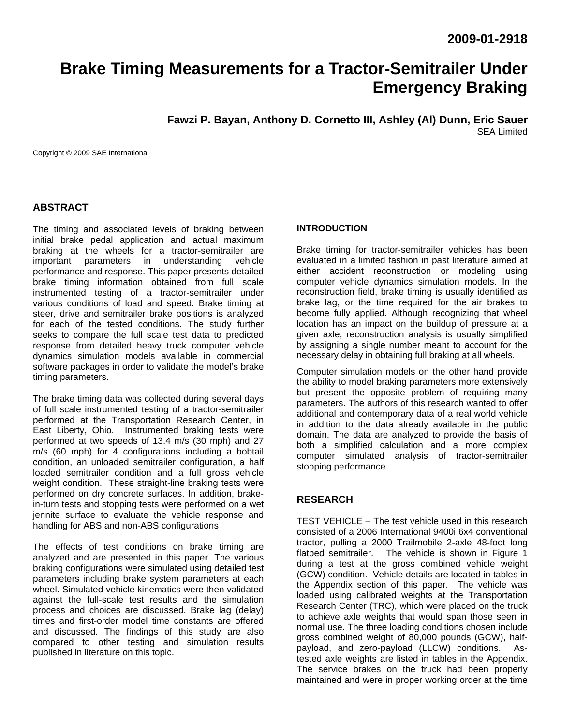# **Brake Timing Measurements for a Tractor-Semitrailer Under Emergency Braking**

**Fawzi P. Bayan, Anthony D. Cornetto III, Ashley (Al) Dunn, Eric Sauer**  SEA Limited

Copyright © 2009 SAE International

## **ABSTRACT**

The timing and associated levels of braking between initial brake pedal application and actual maximum braking at the wheels for a tractor-semitrailer are important parameters in understanding vehicle performance and response. This paper presents detailed brake timing information obtained from full scale instrumented testing of a tractor-semitrailer under various conditions of load and speed. Brake timing at steer, drive and semitrailer brake positions is analyzed for each of the tested conditions. The study further seeks to compare the full scale test data to predicted response from detailed heavy truck computer vehicle dynamics simulation models available in commercial software packages in order to validate the model's brake timing parameters.

The brake timing data was collected during several days of full scale instrumented testing of a tractor-semitrailer performed at the Transportation Research Center, in East Liberty, Ohio. Instrumented braking tests were performed at two speeds of 13.4 m/s (30 mph) and 27 m/s (60 mph) for 4 configurations including a bobtail condition, an unloaded semitrailer configuration, a half loaded semitrailer condition and a full gross vehicle weight condition. These straight-line braking tests were performed on dry concrete surfaces. In addition, brakein-turn tests and stopping tests were performed on a wet jennite surface to evaluate the vehicle response and handling for ABS and non-ABS configurations

The effects of test conditions on brake timing are analyzed and are presented in this paper. The various braking configurations were simulated using detailed test parameters including brake system parameters at each wheel. Simulated vehicle kinematics were then validated against the full-scale test results and the simulation process and choices are discussed. Brake lag (delay) times and first-order model time constants are offered and discussed. The findings of this study are also compared to other testing and simulation results published in literature on this topic.

#### **INTRODUCTION**

Brake timing for tractor-semitrailer vehicles has been evaluated in a limited fashion in past literature aimed at either accident reconstruction or modeling using computer vehicle dynamics simulation models. In the reconstruction field, brake timing is usually identified as brake lag, or the time required for the air brakes to become fully applied. Although recognizing that wheel location has an impact on the buildup of pressure at a given axle, reconstruction analysis is usually simplified by assigning a single number meant to account for the necessary delay in obtaining full braking at all wheels.

Computer simulation models on the other hand provide the ability to model braking parameters more extensively but present the opposite problem of requiring many parameters. The authors of this research wanted to offer additional and contemporary data of a real world vehicle in addition to the data already available in the public domain. The data are analyzed to provide the basis of both a simplified calculation and a more complex computer simulated analysis of tractor-semitrailer stopping performance.

## **RESEARCH**

TEST VEHICLE – The test vehicle used in this research consisted of a 2006 International 9400i 6x4 conventional tractor, pulling a 2000 Trailmobile 2-axle 48-foot long flatbed semitrailer. The vehicle is shown in Figure 1 during a test at the gross combined vehicle weight (GCW) condition. Vehicle details are located in tables in the Appendix section of this paper. The vehicle was loaded using calibrated weights at the Transportation Research Center (TRC), which were placed on the truck to achieve axle weights that would span those seen in normal use. The three loading conditions chosen include gross combined weight of 80,000 pounds (GCW), halfpayload, and zero-payload (LLCW) conditions. Astested axle weights are listed in tables in the Appendix. The service brakes on the truck had been properly maintained and were in proper working order at the time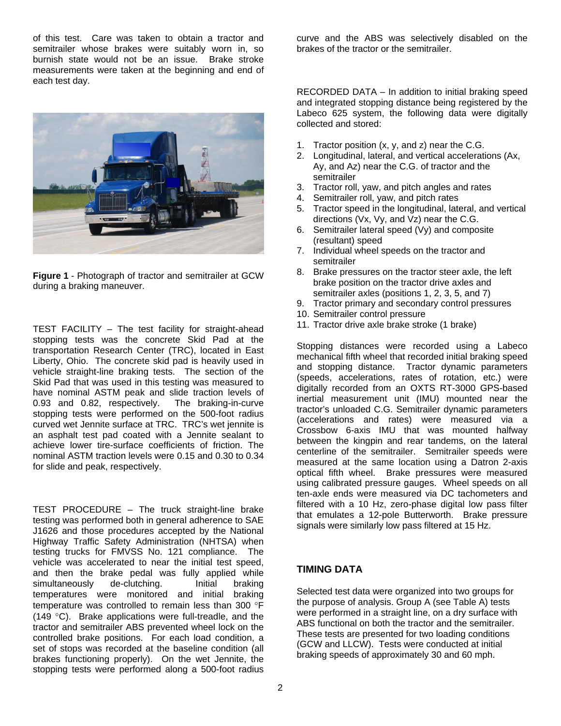of this test. Care was taken to obtain a tractor and semitrailer whose brakes were suitably worn in, so burnish state would not be an issue. Brake stroke measurements were taken at the beginning and end of each test day.



**Figure 1** - Photograph of tractor and semitrailer at GCW during a braking maneuver.

TEST FACILITY – The test facility for straight-ahead stopping tests was the concrete Skid Pad at the transportation Research Center (TRC), located in East Liberty, Ohio. The concrete skid pad is heavily used in vehicle straight-line braking tests. The section of the Skid Pad that was used in this testing was measured to have nominal ASTM peak and slide traction levels of 0.93 and 0.82, respectively. The braking-in-curve stopping tests were performed on the 500-foot radius curved wet Jennite surface at TRC. TRC's wet jennite is an asphalt test pad coated with a Jennite sealant to achieve lower tire-surface coefficients of friction. The nominal ASTM traction levels were 0.15 and 0.30 to 0.34 for slide and peak, respectively.

TEST PROCEDURE – The truck straight-line brake testing was performed both in general adherence to SAE J1626 and those procedures accepted by the National Highway Traffic Safety Administration (NHTSA) when testing trucks for FMVSS No. 121 compliance. The vehicle was accelerated to near the initial test speed, and then the brake pedal was fully applied while simultaneously de-clutching. Initial braking temperatures were monitored and initial braking temperature was controlled to remain less than 300 °F (149 °C). Brake applications were full-treadle, and the tractor and semitrailer ABS prevented wheel lock on the controlled brake positions. For each load condition, a set of stops was recorded at the baseline condition (all brakes functioning properly). On the wet Jennite, the stopping tests were performed along a 500-foot radius

curve and the ABS was selectively disabled on the brakes of the tractor or the semitrailer.

RECORDED DATA – In addition to initial braking speed and integrated stopping distance being registered by the Labeco 625 system, the following data were digitally collected and stored:

- 1. Tractor position (x, y, and z) near the C.G.
- 2. Longitudinal, lateral, and vertical accelerations (Ax, Ay, and Az) near the C.G. of tractor and the semitrailer
- 3. Tractor roll, yaw, and pitch angles and rates
- 4. Semitrailer roll, yaw, and pitch rates
- 5. Tractor speed in the longitudinal, lateral, and vertical directions (Vx, Vy, and Vz) near the C.G.
- 6. Semitrailer lateral speed (Vy) and composite (resultant) speed
- 7. Individual wheel speeds on the tractor and semitrailer
- 8. Brake pressures on the tractor steer axle, the left brake position on the tractor drive axles and semitrailer axles (positions 1, 2, 3, 5, and 7)
- 9. Tractor primary and secondary control pressures
- 10. Semitrailer control pressure
- 11. Tractor drive axle brake stroke (1 brake)

Stopping distances were recorded using a Labeco mechanical fifth wheel that recorded initial braking speed and stopping distance. Tractor dynamic parameters (speeds, accelerations, rates of rotation, etc.) were digitally recorded from an OXTS RT-3000 GPS-based inertial measurement unit (IMU) mounted near the tractor's unloaded C.G. Semitrailer dynamic parameters (accelerations and rates) were measured via a Crossbow 6-axis IMU that was mounted halfway between the kingpin and rear tandems, on the lateral centerline of the semitrailer. Semitrailer speeds were measured at the same location using a Datron 2-axis optical fifth wheel. Brake pressures were measured using calibrated pressure gauges. Wheel speeds on all ten-axle ends were measured via DC tachometers and filtered with a 10 Hz, zero-phase digital low pass filter that emulates a 12-pole Butterworth. Brake pressure signals were similarly low pass filtered at 15 Hz.

## **TIMING DATA**

Selected test data were organized into two groups for the purpose of analysis. Group A (see Table A) tests were performed in a straight line, on a dry surface with ABS functional on both the tractor and the semitrailer. These tests are presented for two loading conditions (GCW and LLCW). Tests were conducted at initial braking speeds of approximately 30 and 60 mph.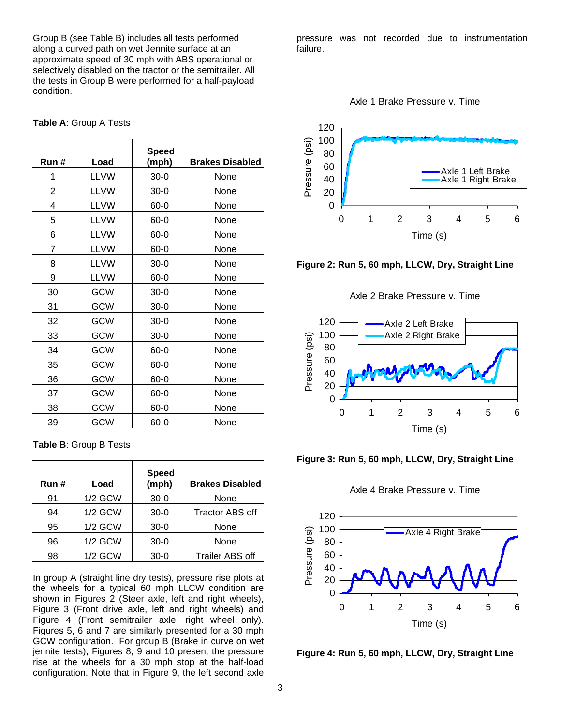Group B (see Table B) includes all tests performed along a curved path on wet Jennite surface at an approximate speed of 30 mph with ABS operational or selectively disabled on the tractor or the semitrailer. All the tests in Group B were performed for a half-payload condition.

#### **Table A**: Group A Tests

| Run#           | Load        | <b>Speed</b><br>(mph) | <b>Brakes Disabled</b> |
|----------------|-------------|-----------------------|------------------------|
| 1              | <b>LLVW</b> | $30-0$                | None                   |
| $\overline{2}$ | <b>LLVW</b> | $30-0$                | None                   |
| 4              | <b>LLVW</b> | 60-0                  | None                   |
| 5              | <b>LLVW</b> | 60-0                  | None                   |
| 6              | <b>LLVW</b> | 60-0                  | None                   |
| 7              | <b>LLVW</b> | 60-0                  | None                   |
| 8              | <b>LLVW</b> | $30 - 0$              | None                   |
| 9              | <b>LLVW</b> | 60-0                  | None                   |
| 30             | GCW         | $30-0$                | None                   |
| 31             | GCW         | $30 - 0$              | None                   |
| 32             | GCW         | $30-0$                | None                   |
| 33             | GCW         | $30-0$                | None                   |
| 34             | GCW         | 60-0                  | None                   |
| 35             | GCW         | 60-0                  | None                   |
| 36             | GCW         | 60-0                  | None                   |
| 37             | GCW         | 60-0                  | None                   |
| 38             | GCW         | $60 - 0$              | None                   |
| 39             | GCW         | 60-0                  | None                   |

**Table B**: Group B Tests

| Run# | Load           | <b>Speed</b><br>(mph) | <b>Brakes Disabled</b> |
|------|----------------|-----------------------|------------------------|
| 91   | <b>1/2 GCW</b> | $30-0$                | None                   |
| 94   | <b>1/2 GCW</b> | $30-0$                | <b>Tractor ABS off</b> |
| 95   | <b>1/2 GCW</b> | $30-0$                | None                   |
| 96   | <b>1/2 GCW</b> | $30-0$                | None                   |
| 98   | <b>1/2 GCW</b> | $30-0$                | <b>Trailer ABS off</b> |

In group A (straight line dry tests), pressure rise plots at the wheels for a typical 60 mph LLCW condition are shown in Figures 2 (Steer axle, left and right wheels), Figure 3 (Front drive axle, left and right wheels) and Figure 4 (Front semitrailer axle, right wheel only). Figures 5, 6 and 7 are similarly presented for a 30 mph GCW configuration. For group B (Brake in curve on wet jennite tests), Figures 8, 9 and 10 present the pressure rise at the wheels for a 30 mph stop at the half-load configuration. Note that in Figure 9, the left second axle

pressure was not recorded due to instrumentation failure.







Axle 2 Brake Pressure v. Time





Axle 4 Brake Pressure v. Time



**Figure 4: Run 5, 60 mph, LLCW, Dry, Straight Line**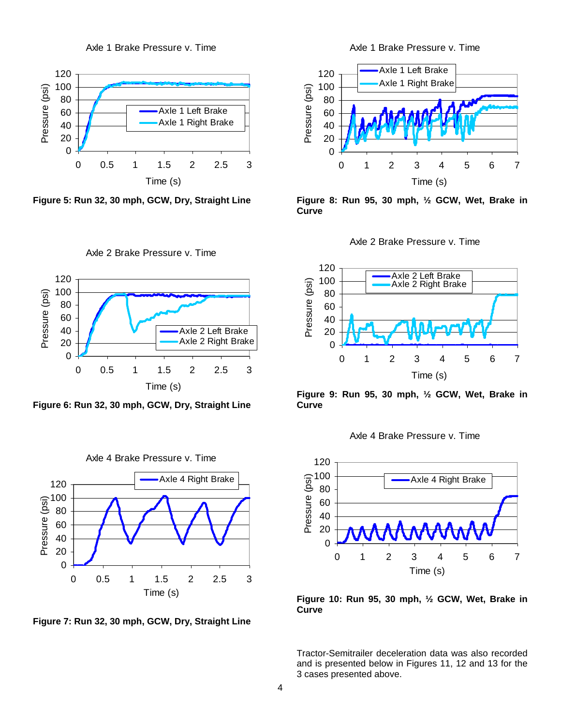



**Figure 5: Run 32, 30 mph, GCW, Dry, Straight Line** 

Axle 2 Brake Pressure v. Time



**Figure 6: Run 32, 30 mph, GCW, Dry, Straight Line** 



**Figure 7: Run 32, 30 mph, GCW, Dry, Straight Line** 

Axle 1 Brake Pressure v. Time



**Figure 8: Run 95, 30 mph, ½ GCW, Wet, Brake in Curve**





**Figure 9: Run 95, 30 mph, ½ GCW, Wet, Brake in Curve** 





**Figure 10: Run 95, 30 mph, ½ GCW, Wet, Brake in Curve**

Tractor-Semitrailer deceleration data was also recorded and is presented below in Figures 11, 12 and 13 for the 3 cases presented above.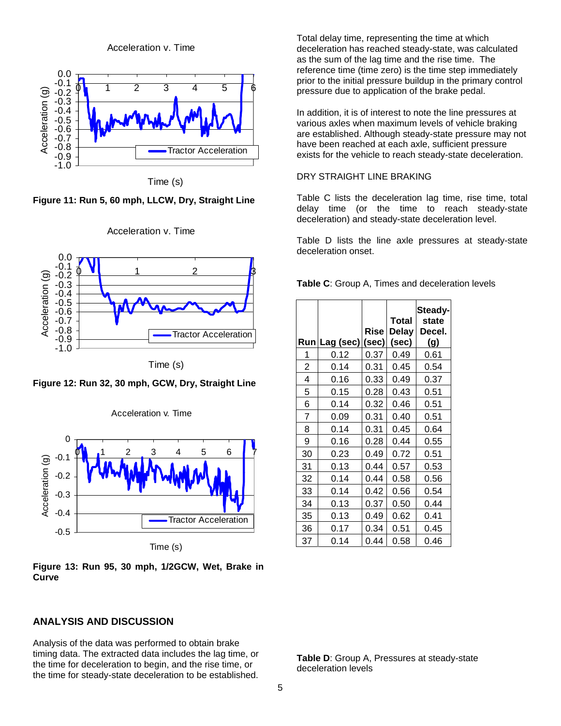Acceleration v. Time



Time (s)

**Figure 11: Run 5, 60 mph, LLCW, Dry, Straight Line**



Acceleration v. Time

Time (s)

**Figure 12: Run 32, 30 mph, GCW, Dry, Straight Line** 

Acceleration v. Time



**Figure 13: Run 95, 30 mph, 1/2GCW, Wet, Brake in** 

**Curve** 

#### **ANALYSIS AND DISCUSSION**

Analysis of the data was performed to obtain brake timing data. The extracted data includes the lag time, or the time for deceleration to begin, and the rise time, or the time for steady-state deceleration to be established.

Total delay time, representing the time at which deceleration has reached steady-state, was calculated as the sum of the lag time and the rise time. The reference time (time zero) is the time step immediately prior to the initial pressure buildup in the primary control pressure due to application of the brake pedal.

In addition, it is of interest to note the line pressures at various axles when maximum levels of vehicle braking are established. Although steady-state pressure may not have been reached at each axle, sufficient pressure exists for the vehicle to reach steady-state deceleration.

#### DRY STRAIGHT LINE BRAKING

Table C lists the deceleration lag time, rise time, total delay time (or the time to reach steady-state deceleration) and steady-state deceleration level.

Table D lists the line axle pressures at steady-state deceleration onset.

**Table C**: Group A, Times and deceleration levels

| Run            | Lag (sec) (sec) | Rise | <b>Total</b><br><b>Delay</b><br>(sec) | Steady-<br>state<br>Decel.<br>(g) |
|----------------|-----------------|------|---------------------------------------|-----------------------------------|
| 1              | 0.12            | 0.37 | 0.49                                  | 0.61                              |
| $\overline{c}$ | 0.14            | 0.31 | 0.45                                  | 0.54                              |
| 4              | 0.16            | 0.33 | 0.49                                  | 0.37                              |
| 5              | 0.15            | 0.28 | 0.43                                  | 0.51                              |
| 6              | 0.14            | 0.32 | 0.46                                  | 0.51                              |
| 7              | 0.09            | 0.31 | 0.40                                  | 0.51                              |
| 8              | 0.14            | 0.31 | 0.45                                  | 0.64                              |
| 9              | 0.16            | 0.28 | 0.44                                  | 0.55                              |
| 30             | 0.23            | 0.49 | 0.72                                  | 0.51                              |
| 31             | 0.13            | 0.44 | 0.57                                  | 0.53                              |
| 32             | 0.14            | 0.44 | 0.58                                  | 0.56                              |
| 33             | 0.14            | 0.42 | 0.56                                  | 0.54                              |
| 34             | 0.13            | 0.37 | 0.50                                  | 0.44                              |
| 35             | 0.13            | 0.49 | 0.62                                  | 0.41                              |
| 36             | 0.17            | 0.34 | 0.51                                  | 0.45                              |
| 37             | 0.14            | 0.44 | 0.58                                  | 0.46                              |

**Table D**: Group A, Pressures at steady-state deceleration levels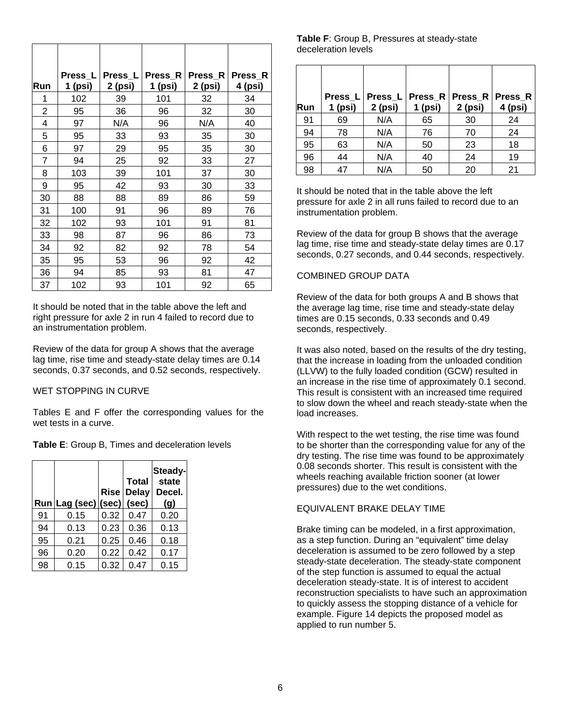| Run            | Press $L$<br>1 (psi) | Press $L$<br>2 (psi) | Press R<br>1 (psi) | Press_R<br>2 (psi) | Press_R<br>4 (psi) |
|----------------|----------------------|----------------------|--------------------|--------------------|--------------------|
| 1              | 102                  | 39                   | 101                | 32                 | 34                 |
| 2              | 95                   | 36                   | 96                 | 32                 | 30                 |
| 4              | 97                   | N/A                  | 96                 | N/A                | 40                 |
| 5              | 95                   | 33                   | 93                 | 35                 | 30                 |
| 6              | 97                   | 29                   | 95                 | 35                 | 30                 |
| $\overline{7}$ | 94                   | 25                   | 92                 | 33                 | 27                 |
| 8              | 103                  | 39                   | 101                | 37                 | 30                 |
| 9              | 95                   | 42                   | 93                 | 30                 | 33                 |
| 30             | 88                   | 88                   | 89                 | 86                 | 59                 |
| 31             | 100                  | 91                   | 96                 | 89                 | 76                 |
| 32             | 102                  | 93                   | 101                | 91                 | 81                 |
| 33             | 98                   | 87                   | 96                 | 86                 | 73                 |
| 34             | 92                   | 82                   | 92                 | 78                 | 54                 |
| 35             | 95                   | 53                   | 96                 | 92                 | 42                 |
| 36             | 94                   | 85                   | 93                 | 81                 | 47                 |
| 37             | 102                  | 93                   | 101                | 92                 | 65                 |

It should be noted that in the table above the left and right pressure for axle 2 in run 4 failed to record due to an instrumentation problem.

Review of the data for group A shows that the average lag time, rise time and steady-state delay times are 0.14 seconds, 0.37 seconds, and 0.52 seconds, respectively.

#### WET STOPPING IN CURVE

Tables E and F offer the corresponding values for the wet tests in a curve.

**Table E**: Group B, Times and deceleration levels

|    | Run Lag (sec) (sec) (sec) |      | <b>Total</b><br><b>Rise Delay</b> | Steady-<br>state<br>Decel.<br>(g) |
|----|---------------------------|------|-----------------------------------|-----------------------------------|
| 91 | 0.15                      | 0.32 | 0.47                              | 0.20                              |
| 94 | 0.13                      | 0.23 | 0.36                              | 0.13                              |
| 95 | 0.21                      | 0.25 | 0.46                              | 0.18                              |
| 96 | 0.20                      | 0.22 | 0.42                              | 0.17                              |
| 98 | 0.15                      | 0.32 | 0.47                              | 0.15                              |

#### **Table F**: Group B, Pressures at steady-state deceleration levels

| Run | Press_L <br>$1$ (psi) | $2$ (psi) | $1$ (psi) | Press L Press R Press R Press R<br>2 (psi) | 4 (psi) |
|-----|-----------------------|-----------|-----------|--------------------------------------------|---------|
| 91  | 69                    | N/A       | 65        | 30                                         | 24      |
| 94  | 78                    | N/A       | 76        | 70                                         | 24      |
| 95  | 63                    | N/A       | 50        | 23                                         | 18      |
| 96  | 44                    | N/A       | 40        | 24                                         | 19      |
| 98  | 47                    | N/A       | 50        | 20                                         | 21      |

It should be noted that in the table above the left pressure for axle 2 in all runs failed to record due to an instrumentation problem.

Review of the data for group B shows that the average lag time, rise time and steady-state delay times are 0.17 seconds, 0.27 seconds, and 0.44 seconds, respectively.

#### COMBINED GROUP DATA

Review of the data for both groups A and B shows that the average lag time, rise time and steady-state delay times are 0.15 seconds, 0.33 seconds and 0.49 seconds, respectively.

It was also noted, based on the results of the dry testing, that the increase in loading from the unloaded condition (LLVW) to the fully loaded condition (GCW) resulted in an increase in the rise time of approximately 0.1 second. This result is consistent with an increased time required to slow down the wheel and reach steady-state when the load increases.

With respect to the wet testing, the rise time was found to be shorter than the corresponding value for any of the dry testing. The rise time was found to be approximately 0.08 seconds shorter. This result is consistent with the wheels reaching available friction sooner (at lower pressures) due to the wet conditions.

#### EQUIVALENT BRAKE DELAY TIME

Brake timing can be modeled, in a first approximation, as a step function. During an "equivalent" time delay deceleration is assumed to be zero followed by a step steady-state deceleration. The steady-state component of the step function is assumed to equal the actual deceleration steady-state. It is of interest to accident reconstruction specialists to have such an approximation to quickly assess the stopping distance of a vehicle for example. Figure 14 depicts the proposed model as applied to run number 5.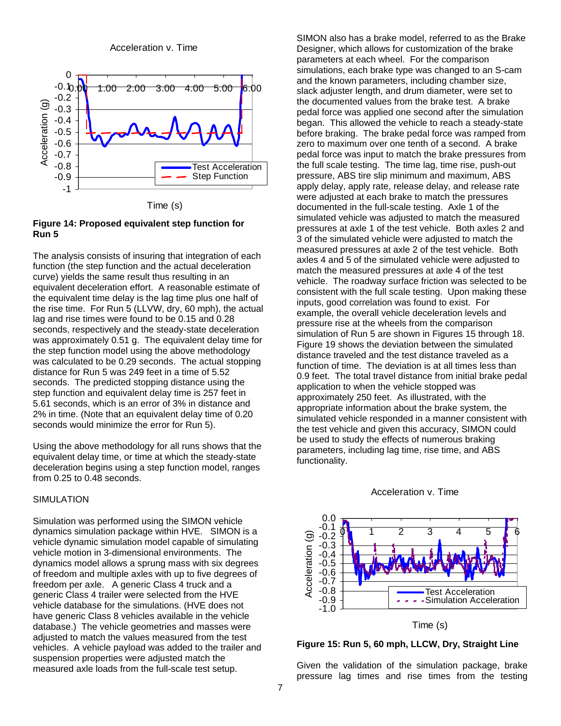Acceleration v. Time



Time (s)

#### **Figure 14: Proposed equivalent step function for Run 5**

The analysis consists of insuring that integration of each function (the step function and the actual deceleration curve) yields the same result thus resulting in an equivalent deceleration effort. A reasonable estimate of the equivalent time delay is the lag time plus one half of the rise time. For Run 5 (LLVW, dry, 60 mph), the actual lag and rise times were found to be 0.15 and 0.28 seconds, respectively and the steady-state deceleration was approximately 0.51 g. The equivalent delay time for the step function model using the above methodology was calculated to be 0.29 seconds. The actual stopping distance for Run 5 was 249 feet in a time of 5.52 seconds. The predicted stopping distance using the step function and equivalent delay time is 257 feet in 5.61 seconds, which is an error of 3% in distance and 2% in time. (Note that an equivalent delay time of 0.20 seconds would minimize the error for Run 5).

Using the above methodology for all runs shows that the equivalent delay time, or time at which the steady-state deceleration begins using a step function model, ranges from 0.25 to 0.48 seconds.

## SIMULATION

Simulation was performed using the SIMON vehicle dynamics simulation package within HVE. SIMON is a vehicle dynamic simulation model capable of simulating vehicle motion in 3-dimensional environments. The dynamics model allows a sprung mass with six degrees of freedom and multiple axles with up to five degrees of freedom per axle. A generic Class 4 truck and a generic Class 4 trailer were selected from the HVE vehicle database for the simulations. (HVE does not have generic Class 8 vehicles available in the vehicle database.) The vehicle geometries and masses were adjusted to match the values measured from the test vehicles. A vehicle payload was added to the trailer and suspension properties were adjusted match the measured axle loads from the full-scale test setup.

SIMON also has a brake model, referred to as the Brake Designer, which allows for customization of the brake parameters at each wheel. For the comparison simulations, each brake type was changed to an S-cam and the known parameters, including chamber size, slack adjuster length, and drum diameter, were set to the documented values from the brake test. A brake pedal force was applied one second after the simulation began. This allowed the vehicle to reach a steady-state before braking. The brake pedal force was ramped from zero to maximum over one tenth of a second. A brake pedal force was input to match the brake pressures from the full scale testing. The time lag, time rise, push-out pressure, ABS tire slip minimum and maximum, ABS apply delay, apply rate, release delay, and release rate were adjusted at each brake to match the pressures documented in the full-scale testing. Axle 1 of the simulated vehicle was adjusted to match the measured pressures at axle 1 of the test vehicle. Both axles 2 and 3 of the simulated vehicle were adjusted to match the measured pressures at axle 2 of the test vehicle. Both axles 4 and 5 of the simulated vehicle were adjusted to match the measured pressures at axle 4 of the test vehicle. The roadway surface friction was selected to be consistent with the full scale testing. Upon making these inputs, good correlation was found to exist. For example, the overall vehicle deceleration levels and pressure rise at the wheels from the comparison simulation of Run 5 are shown in Figures 15 through 18. Figure 19 shows the deviation between the simulated distance traveled and the test distance traveled as a function of time. The deviation is at all times less than 0.9 feet. The total travel distance from initial brake pedal application to when the vehicle stopped was approximately 250 feet. As illustrated, with the appropriate information about the brake system, the simulated vehicle responded in a manner consistent with the test vehicle and given this accuracy, SIMON could be used to study the effects of numerous braking parameters, including lag time, rise time, and ABS functionality.







Given the validation of the simulation package, brake pressure lag times and rise times from the testing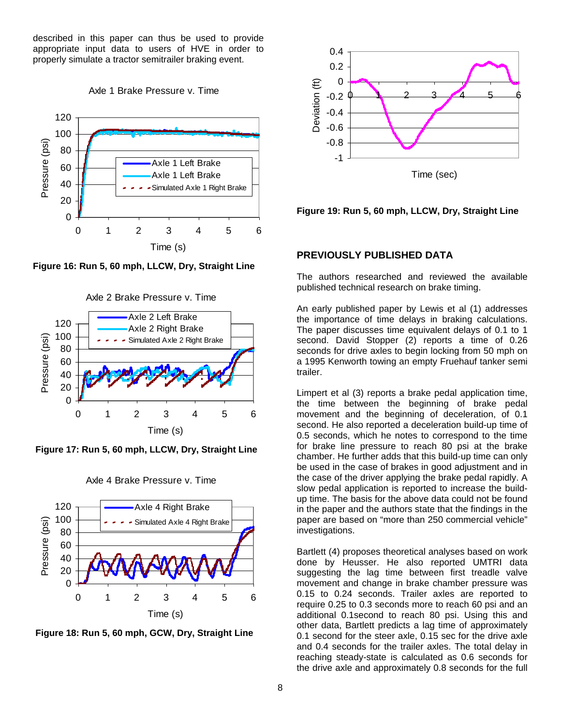described in this paper can thus be used to provide appropriate input data to users of HVE in order to properly simulate a tractor semitrailer braking event.





**Figure 16: Run 5, 60 mph, LLCW, Dry, Straight Line** 





 **Figure 17: Run 5, 60 mph, LLCW, Dry, Straight Line**



Axle 4 Brake Pressure v. Time

 **Figure 18: Run 5, 60 mph, GCW, Dry, Straight Line** 



#### **Figure 19: Run 5, 60 mph, LLCW, Dry, Straight Line**

## **PREVIOUSLY PUBLISHED DATA**

The authors researched and reviewed the available published technical research on brake timing.

An early published paper by Lewis et al (1) addresses the importance of time delays in braking calculations. The paper discusses time equivalent delays of 0.1 to 1 second. David Stopper (2) reports a time of 0.26 seconds for drive axles to begin locking from 50 mph on a 1995 Kenworth towing an empty Fruehauf tanker semi trailer.

Limpert et al (3) reports a brake pedal application time, the time between the beginning of brake pedal movement and the beginning of deceleration, of 0.1 second. He also reported a deceleration build-up time of 0.5 seconds, which he notes to correspond to the time for brake line pressure to reach 80 psi at the brake chamber. He further adds that this build-up time can only be used in the case of brakes in good adjustment and in the case of the driver applying the brake pedal rapidly. A slow pedal application is reported to increase the buildup time. The basis for the above data could not be found in the paper and the authors state that the findings in the paper are based on "more than 250 commercial vehicle" investigations.

Bartlett (4) proposes theoretical analyses based on work done by Heusser. He also reported UMTRI data suggesting the lag time between first treadle valve movement and change in brake chamber pressure was 0.15 to 0.24 seconds. Trailer axles are reported to require 0.25 to 0.3 seconds more to reach 60 psi and an additional 0.1second to reach 80 psi. Using this and other data, Bartlett predicts a lag time of approximately 0.1 second for the steer axle, 0.15 sec for the drive axle and 0.4 seconds for the trailer axles. The total delay in reaching steady-state is calculated as 0.6 seconds for the drive axle and approximately 0.8 seconds for the full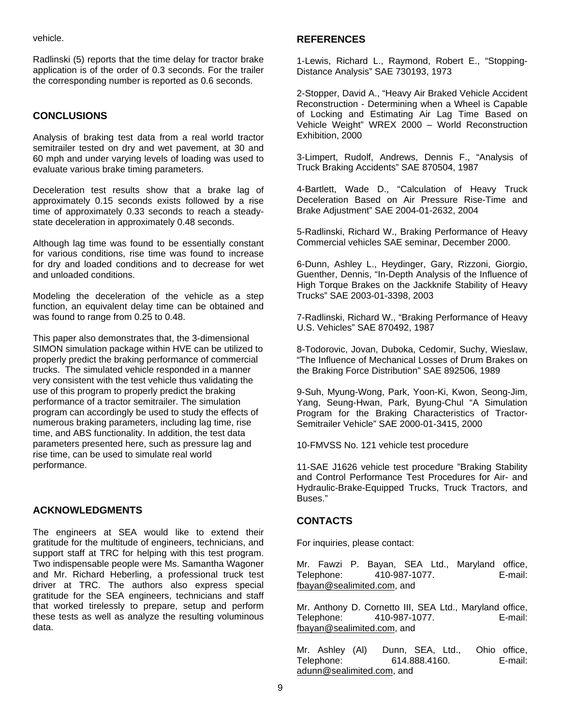vehicle.

Radlinski (5) reports that the time delay for tractor brake application is of the order of 0.3 seconds. For the trailer the corresponding number is reported as 0.6 seconds.

## **CONCLUSIONS**

Analysis of braking test data from a real world tractor semitrailer tested on dry and wet pavement, at 30 and 60 mph and under varying levels of loading was used to evaluate various brake timing parameters.

Deceleration test results show that a brake lag of approximately 0.15 seconds exists followed by a rise time of approximately 0.33 seconds to reach a steadystate deceleration in approximately 0.48 seconds.

Although lag time was found to be essentially constant for various conditions, rise time was found to increase for dry and loaded conditions and to decrease for wet and unloaded conditions.

Modeling the deceleration of the vehicle as a step function, an equivalent delay time can be obtained and was found to range from 0.25 to 0.48.

This paper also demonstrates that, the 3-dimensional SIMON simulation package within HVE can be utilized to properly predict the braking performance of commercial trucks. The simulated vehicle responded in a manner very consistent with the test vehicle thus validating the use of this program to properly predict the braking performance of a tractor semitrailer. The simulation program can accordingly be used to study the effects of numerous braking parameters, including lag time, rise time, and ABS functionality. In addition, the test data parameters presented here, such as pressure lag and rise time, can be used to simulate real world performance.

## **ACKNOWLEDGMENTS**

The engineers at SEA would like to extend their gratitude for the multitude of engineers, technicians, and support staff at TRC for helping with this test program. Two indispensable people were Ms. Samantha Wagoner and Mr. Richard Heberling, a professional truck test driver at TRC. The authors also express special gratitude for the SEA engineers, technicians and staff that worked tirelessly to prepare, setup and perform these tests as well as analyze the resulting voluminous data.

## **REFERENCES**

1-Lewis, Richard L., Raymond, Robert E., "Stopping-Distance Analysis" SAE 730193, 1973

2-Stopper, David A., "Heavy Air Braked Vehicle Accident Reconstruction - Determining when a Wheel is Capable of Locking and Estimating Air Lag Time Based on Vehicle Weight" WREX 2000 – World Reconstruction Exhibition, 2000

3-Limpert, Rudolf, Andrews, Dennis F., "Analysis of Truck Braking Accidents" SAE 870504, 1987

4-Bartlett, Wade D., "Calculation of Heavy Truck Deceleration Based on Air Pressure Rise-Time and Brake Adjustment" SAE 2004-01-2632, 2004

5-Radlinski, Richard W., Braking Performance of Heavy Commercial vehicles SAE seminar, December 2000.

6-Dunn, Ashley L., Heydinger, Gary, Rizzoni, Giorgio, Guenther, Dennis, "In-Depth Analysis of the Influence of High Torque Brakes on the Jackknife Stability of Heavy Trucks" SAE 2003-01-3398, 2003

7-Radlinski, Richard W., "Braking Performance of Heavy U.S. Vehicles" SAE 870492, 1987

8-Todorovic, Jovan, Duboka, Cedomir, Suchy, Wieslaw, "The Influence of Mechanical Losses of Drum Brakes on the Braking Force Distribution" SAE 892506, 1989

9-Suh, Myung-Wong, Park, Yoon-Ki, Kwon, Seong-Jim, Yang, Seung-Hwan, Park, Byung-Chul "A Simulation Program for the Braking Characteristics of Tractor-Semitrailer Vehicle" SAE 2000-01-3415, 2000

10-FMVSS No. 121 vehicle test procedure

11-SAE J1626 vehicle test procedure "Braking Stability and Control Performance Test Procedures for Air- and Hydraulic-Brake-Equipped Trucks, Truck Tractors, and Buses."

## **CONTACTS**

For inquiries, please contact:

Mr. Fawzi P. Bayan, SEA Ltd., Maryland office, Telephone: 410-987-1077. E-mail: fbayan@sealimited.com, and

Mr. Anthony D. Cornetto III, SEA Ltd., Maryland office, Telephone: 410-987-1077. E-mail: fbayan@sealimited.com, and

Mr. Ashley (Al) Dunn, SEA, Ltd., Ohio office, Telephone: 614.888.4160. E-mail: adunn@sealimited.com, and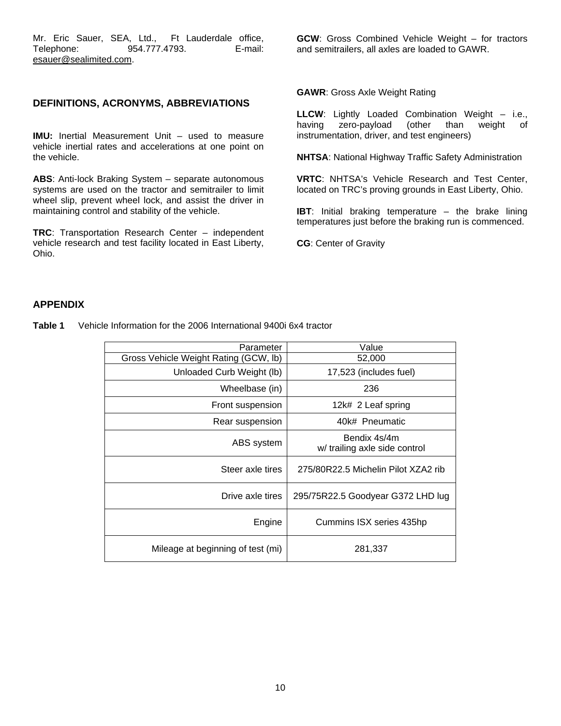Mr. Eric Sauer, SEA, Ltd., Ft Lauderdale office, Telephone: 954.777.4793. E-mail: esauer@sealimited.com.

### **DEFINITIONS, ACRONYMS, ABBREVIATIONS**

**IMU:** Inertial Measurement Unit – used to measure vehicle inertial rates and accelerations at one point on the vehicle.

**ABS**: Anti-lock Braking System – separate autonomous systems are used on the tractor and semitrailer to limit wheel slip, prevent wheel lock, and assist the driver in maintaining control and stability of the vehicle.

**TRC**: Transportation Research Center – independent vehicle research and test facility located in East Liberty, Ohio.

**GCW**: Gross Combined Vehicle Weight – for tractors and semitrailers, all axles are loaded to GAWR.

#### **GAWR**: Gross Axle Weight Rating

**LLCW**: Lightly Loaded Combination Weight – i.e., having zero-payload (other than weight of instrumentation, driver, and test engineers)

**NHTSA**: National Highway Traffic Safety Administration

**VRTC**: NHTSA's Vehicle Research and Test Center, located on TRC's proving grounds in East Liberty, Ohio.

**IBT**: Initial braking temperature – the brake lining temperatures just before the braking run is commenced.

**CG**: Center of Gravity

## **APPENDIX**

**Table 1** Vehicle Information for the 2006 International 9400i 6x4 tractor

| Parameter                             | Value                                         |
|---------------------------------------|-----------------------------------------------|
| Gross Vehicle Weight Rating (GCW, lb) | 52,000                                        |
| Unloaded Curb Weight (lb)             | 17,523 (includes fuel)                        |
| Wheelbase (in)                        | 236                                           |
| Front suspension                      | 12k# 2 Leaf spring                            |
| Rear suspension                       | 40k# Pneumatic                                |
| ABS system                            | Bendix 4s/4m<br>w/ trailing axle side control |
| Steer axle tires                      | 275/80R22.5 Michelin Pilot XZA2 rib           |
| Drive axle tires                      | 295/75R22.5 Goodyear G372 LHD lug             |
| Engine                                | Cummins ISX series 435hp                      |
| Mileage at beginning of test (mi)     | 281,337                                       |